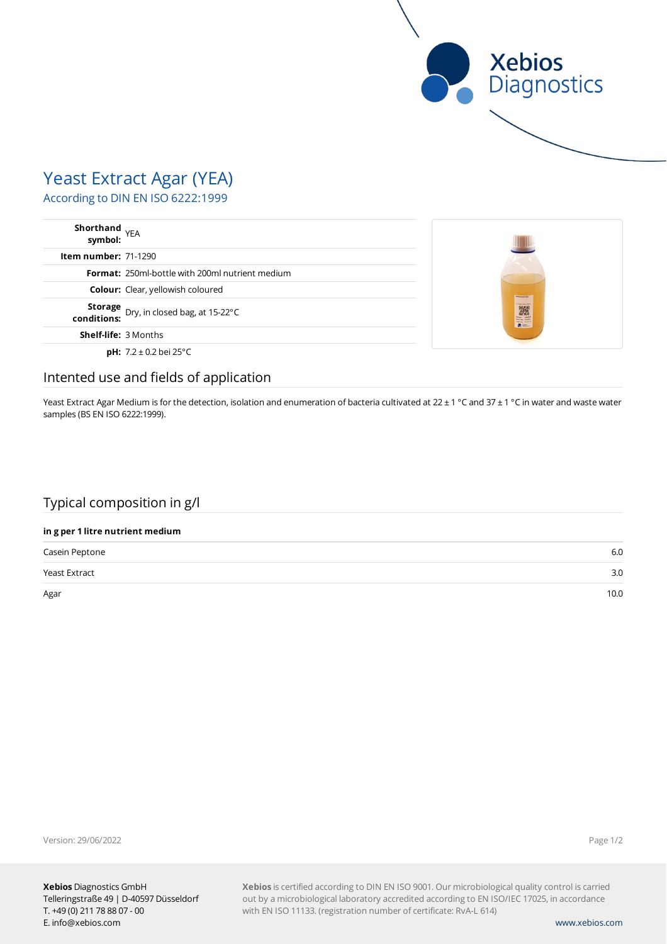

# Yeast Extract Agar (YEA)

According to DIN EN ISO 6222:1999

| Shorthand<br>symbol: YEA                                  |                                            |
|-----------------------------------------------------------|--------------------------------------------|
| <b>Item number: 71-1290</b>                               |                                            |
| <b>Format:</b> 250ml-bottle with 200ml nutrient medium    |                                            |
| <b>Colour:</b> Clear, yellowish coloured                  | <b><i><u><u>Silvermann</u></u></i></b> and |
| <b>Storage</b> Dry, in closed bag, at 15-22°C conditions: | <b>CARLING OF</b><br>NEW !!                |
| <b>Shelf-life: 3 Months</b>                               |                                            |
| <b>pH:</b> $7.2 \pm 0.2$ bei 25°C                         |                                            |

### Intented use and fields of application

Yeast Extract Agar Medium is for the detection, isolation and enumeration of bacteria cultivated at 22 ± 1 °C and 37 ± 1 °C in water and waste water samples (BS EN ISO 6222:1999).

## Typical composition in g/l

### **in g per 1 litre nutrient medium**

| Casein Peptone       | 6.0  |
|----------------------|------|
| <b>Yeast Extract</b> | 3.0  |
| Agar                 | 10.0 |

Version: 29/06/2022

Page 1/2

**Xebios** is certified according to DIN EN ISO 9001. Our microbiological quality control is carried out by a microbiological laboratory accredited according to EN ISO/IEC 17025, in accordance with EN ISO 11133. (registration number of certificate: RvA-L 614)